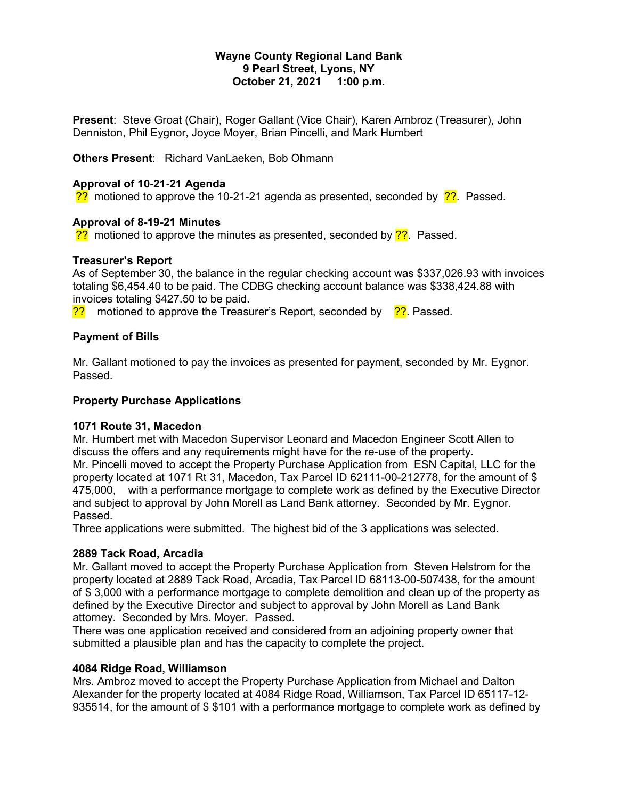### **Wayne County Regional Land Bank 9 Pearl Street, Lyons, NY October 21, 2021 1:00 p.m.**

**Present**: Steve Groat (Chair), Roger Gallant (Vice Chair), Karen Ambroz (Treasurer), John Denniston, Phil Eygnor, Joyce Moyer, Brian Pincelli, and Mark Humbert

**Others Present**: Richard VanLaeken, Bob Ohmann

# **Approval of 10-21-21 Agenda**

?? motioned to approve the 10-21-21 agenda as presented, seconded by  $\frac{22}{12}$ . Passed.

# **Approval of 8-19-21 Minutes**

 $\frac{22}{12}$  motioned to approve the minutes as presented, seconded by  $\frac{22}{12}$ . Passed.

# **Treasurer's Report**

As of September 30, the balance in the regular checking account was \$337,026.93 with invoices totaling \$6,454.40 to be paid. The CDBG checking account balance was \$338,424.88 with invoices totaling \$427.50 to be paid.

?? motioned to approve the Treasurer's Report, seconded by ?? Passed.

# **Payment of Bills**

Mr. Gallant motioned to pay the invoices as presented for payment, seconded by Mr. Eygnor. Passed.

### **Property Purchase Applications**

# **1071 Route 31, Macedon**

Mr. Humbert met with Macedon Supervisor Leonard and Macedon Engineer Scott Allen to discuss the offers and any requirements might have for the re-use of the property. Mr. Pincelli moved to accept the Property Purchase Application from ESN Capital, LLC for the property located at 1071 Rt 31, Macedon, Tax Parcel ID 62111-00-212778, for the amount of \$ 475,000, with a performance mortgage to complete work as defined by the Executive Director and subject to approval by John Morell as Land Bank attorney. Seconded by Mr. Eygnor. Passed.

Three applications were submitted. The highest bid of the 3 applications was selected.

# **2889 Tack Road, Arcadia**

Mr. Gallant moved to accept the Property Purchase Application from Steven Helstrom for the property located at 2889 Tack Road, Arcadia, Tax Parcel ID 68113-00-507438, for the amount of \$ 3,000 with a performance mortgage to complete demolition and clean up of the property as defined by the Executive Director and subject to approval by John Morell as Land Bank attorney. Seconded by Mrs. Moyer. Passed.

There was one application received and considered from an adjoining property owner that submitted a plausible plan and has the capacity to complete the project.

### **4084 Ridge Road, Williamson**

Mrs. Ambroz moved to accept the Property Purchase Application from Michael and Dalton Alexander for the property located at 4084 Ridge Road, Williamson, Tax Parcel ID 65117-12- 935514, for the amount of \$ \$101 with a performance mortgage to complete work as defined by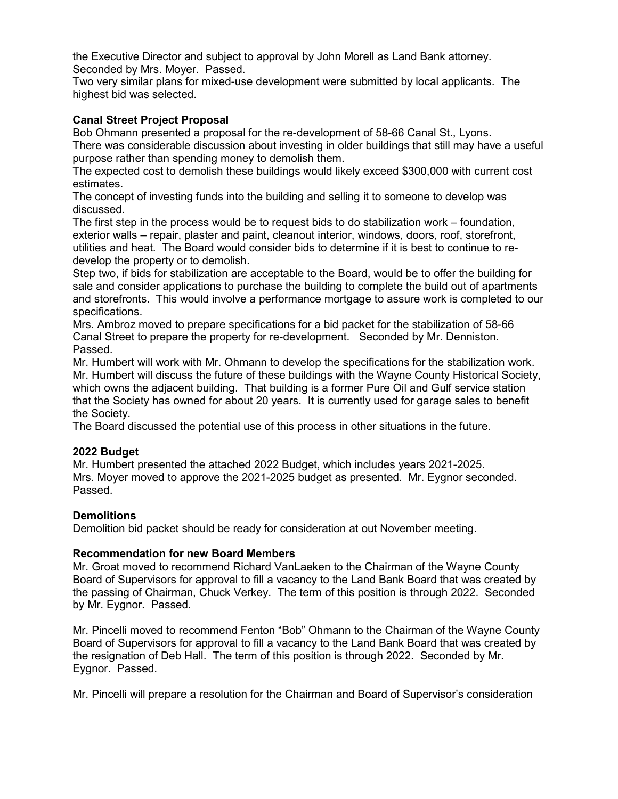the Executive Director and subject to approval by John Morell as Land Bank attorney. Seconded by Mrs. Moyer. Passed.

Two very similar plans for mixed-use development were submitted by local applicants. The highest bid was selected.

# **Canal Street Project Proposal**

Bob Ohmann presented a proposal for the re-development of 58-66 Canal St., Lyons. There was considerable discussion about investing in older buildings that still may have a useful purpose rather than spending money to demolish them.

The expected cost to demolish these buildings would likely exceed \$300,000 with current cost estimates.

The concept of investing funds into the building and selling it to someone to develop was discussed.

The first step in the process would be to request bids to do stabilization work – foundation, exterior walls – repair, plaster and paint, cleanout interior, windows, doors, roof, storefront, utilities and heat. The Board would consider bids to determine if it is best to continue to redevelop the property or to demolish.

Step two, if bids for stabilization are acceptable to the Board, would be to offer the building for sale and consider applications to purchase the building to complete the build out of apartments and storefronts. This would involve a performance mortgage to assure work is completed to our specifications.

Mrs. Ambroz moved to prepare specifications for a bid packet for the stabilization of 58-66 Canal Street to prepare the property for re-development. Seconded by Mr. Denniston. Passed.

Mr. Humbert will work with Mr. Ohmann to develop the specifications for the stabilization work. Mr. Humbert will discuss the future of these buildings with the Wayne County Historical Society, which owns the adjacent building. That building is a former Pure Oil and Gulf service station that the Society has owned for about 20 years. It is currently used for garage sales to benefit the Society.

The Board discussed the potential use of this process in other situations in the future.

# **2022 Budget**

Mr. Humbert presented the attached 2022 Budget, which includes years 2021-2025. Mrs. Moyer moved to approve the 2021-2025 budget as presented. Mr. Eygnor seconded. Passed.

### **Demolitions**

Demolition bid packet should be ready for consideration at out November meeting.

### **Recommendation for new Board Members**

Mr. Groat moved to recommend Richard VanLaeken to the Chairman of the Wayne County Board of Supervisors for approval to fill a vacancy to the Land Bank Board that was created by the passing of Chairman, Chuck Verkey. The term of this position is through 2022. Seconded by Mr. Eygnor. Passed.

Mr. Pincelli moved to recommend Fenton "Bob" Ohmann to the Chairman of the Wayne County Board of Supervisors for approval to fill a vacancy to the Land Bank Board that was created by the resignation of Deb Hall. The term of this position is through 2022. Seconded by Mr. Eygnor. Passed.

Mr. Pincelli will prepare a resolution for the Chairman and Board of Supervisor's consideration